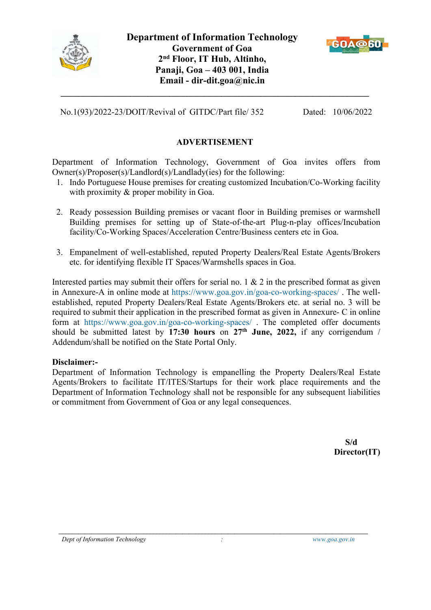



No.1(93)/2022-23/DOIT/Revival of GITDC/Part file/ 352 Dated: 10/06/2022

### **ADVERTISEMENT**

**\_\_\_\_\_\_\_\_\_\_\_\_\_\_\_\_\_\_\_\_\_\_\_\_\_\_\_\_\_\_\_\_\_\_\_\_\_\_\_\_\_\_\_\_\_\_\_\_\_\_\_\_\_\_\_\_\_\_\_\_\_\_\_\_\_\_\_\_\_\_\_**

Department of Information Technology, Government of Goa invites offers from Owner(s)/Proposer(s)/Landlord(s)/Landlady(ies) for the following:

- 1. Indo Portuguese House premises for creating customized Incubation/Co-Working facility with proximity & proper mobility in Goa.
- 2. Ready possession Building premises or vacant floor in Building premises or warmshell Building premises for setting up of State-of-the-art Plug-n-play offices/Incubation facility/Co-Working Spaces/Acceleration Centre/Business centers etc in Goa.
- 3. Empanelment of well-established, reputed Property Dealers/Real Estate Agents/Brokers etc. for identifying flexible IT Spaces/Warmshells spaces in Goa.

Interested parties may submit their offers for serial no. 1  $\&$  2 in the prescribed format as given in Annexure-A in online mode at <https://www.goa.gov.in/goa-co-working-spaces/> .The well established, reputed Property Dealers/Real Estate Agents/Brokers etc. at serial no. 3 will be required to submit their application in the prescribed format as given in Annexure- C in online form at <https://www.goa.gov.in/goa-co-working-spaces/> . The completed offer documents should be submitted latest by **17:30 hours** on **27 th June, 2022,** if any corrigendum / Addendum/shall be notified on the State Portal Only.

#### **Disclaimer:-**

Department of Information Technology is empanelling the Property Dealers/Real Estate Agents/Brokers to facilitate IT/ITES/Startups for their work place requirements and the Department of Information Technology shall not be responsible for any subsequent liabilities or commitment from Government of Goa or any legal consequences.

**\_\_\_\_\_\_\_\_\_\_\_\_\_\_\_\_\_\_\_\_\_\_\_\_\_\_\_\_\_\_\_\_\_\_\_\_\_\_\_\_\_\_\_\_\_\_\_\_\_\_\_\_\_\_\_\_\_\_\_\_\_\_\_\_\_\_\_\_\_\_\_\_\_\_\_\_\_\_\_\_\_\_\_\_\_\_\_\_\_\_\_\_\_\_\_**

**S/d Director(IT)**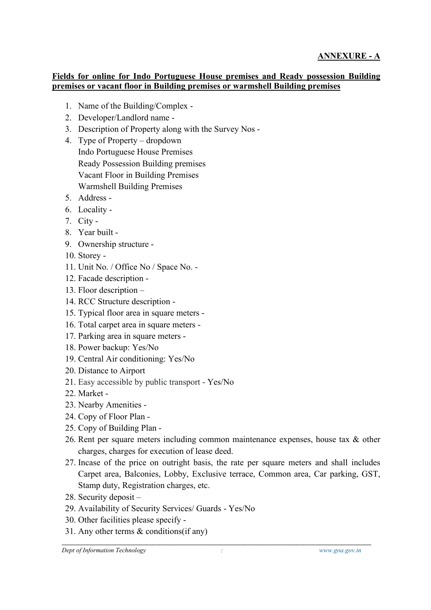### **Fields for online for Indo Portuguese House premises and Ready possession Building premises or vacant floor in Building premises or warmshell Building premises**

- 1. Name of the Building/Complex -
- 2. Developer/Landlord name -
- 3. Description of Property along with the Survey Nos -
- 4. Type of Property dropdown Indo Portuguese House Premises Ready Possession Building premises Vacant Floor in Building Premises Warmshell Building Premises
- 5. Address -
- 6. Locality -
- 7. City -
- 8. Year built -
- 9. Ownership structure -
- 10. Storey -
- 11. Unit No. / Office No / Space No. -
- 12. Facade description -
- 13. Floor description –
- 14. RCC Structure description -
- 15. Typical floor area in square meters -
- 16. Total carpet area in square meters -
- 17. Parking area in square meters -
- 18. Power backup: Yes/No
- 19. Central Air conditioning: Yes/No
- 20. Distance to Airport
- 21. Easy accessible by public transport Yes/No
- 22. Market -
- 23. Nearby Amenities -
- 24. Copy of Floor Plan -
- 25. Copy of Building Plan -
- 26. Rent per square meters including common maintenance expenses, house tax & other charges, charges for execution of lease deed.
- 27. Incase of the price on outright basis, the rate per square meters and shall includes Carpet area, Balconies, Lobby, Exclusive terrace, Common area, Car parking, GST, Stamp duty, Registration charges, etc.
- 28. Security deposit –
- 29. Availability of Security Services/ Guards Yes/No
- 30. Other facilities please specify -
- 31. Any other terms & conditions(if any)

**\_\_\_\_\_\_\_\_\_\_\_\_\_\_\_\_\_\_\_\_\_\_\_\_\_\_\_\_\_\_\_\_\_\_\_\_\_\_\_\_\_\_\_\_\_\_\_\_\_\_\_\_\_\_\_\_\_\_\_\_\_\_\_\_\_\_\_\_\_\_\_\_\_\_\_\_\_\_\_\_\_\_\_\_\_\_\_\_\_\_\_\_\_\_\_**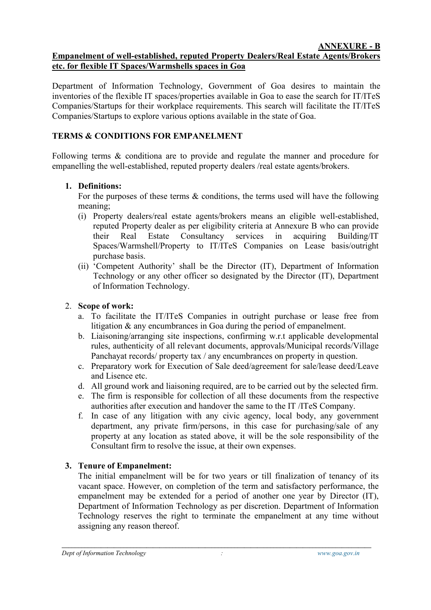## **Empanelment of well-established, reputed Property Dealers/Real Estate Agents/Brokers etc. for flexible IT Spaces/Warmshells spaces in Goa**

Department of Information Technology, Government of Goa desires to maintain the inventories of the flexible IT spaces/properties available in Goa to ease the search for IT/ITeS Companies/Startups for their workplace requirements. This search will facilitate the IT/ITeS Companies/Startups to explore various options available in the state of Goa.

# **TERMS & CONDITIONS FOR EMPANELMENT**

Following terms  $\&$  conditiona are to provide and regulate the manner and procedure for empanelling the well-established, reputed property dealers /real estate agents/brokers.

### **1. Definitions:**

For the purposes of these terms & conditions, the terms used will have the following meaning;

- (i) Property dealers/real estate agents/brokers means an eligible well-established, reputed Property dealer as per eligibility criteria at Annexure B who can provide their Real Estate Consultancy services in acquiring Building/IT Spaces/Warmshell/Property to IT/ITeS Companies on Lease basis/outright purchase basis.
- (ii) 'Competent Authority' shall be the Director (IT), Department of Information Technology or any other officer so designated by the Director (IT), Department of Information Technology.

## 2. **Scope of work:**

- a. To facilitate the IT/ITeS Companies in outright purchase or lease free from litigation & any encumbrances in Goa during the period of empanelment.
- b. Liaisoning/arranging site inspections, confirming w.r.t applicable developmental rules, authenticity of all relevant documents, approvals/Municipal records/Village Panchayat records/ property tax / any encumbrances on property in question.
- c. Preparatory work for Execution of Sale deed/agreement for sale/lease deed/Leave and Lisence etc.
- d. All ground work and liaisoning required, are to be carried out by the selected firm.
- e. The firm is responsible for collection of all these documents from the respective authorities after execution and handover the same to the IT /ITeS Company.f. In case of any litigation with any civic agency, local body, any government
- department, any private firm/persons, in this case for purchasing/sale of any property at any location as stated above, it will be the sole responsibility of the Consultant firm to resolve the issue, at their own expenses.

## **3. Tenure of Empanelment:**

The initial empanelment will be for two years or till finalization of tenancy of its vacant space. However, on completion of the term and satisfactory performance, the empanelment may be extended for a period of another one year by Director (IT), Department of Information Technology as per discretion. Department of Information Technology reserves the right to terminate the empanelment at any time without assigning any reason thereof.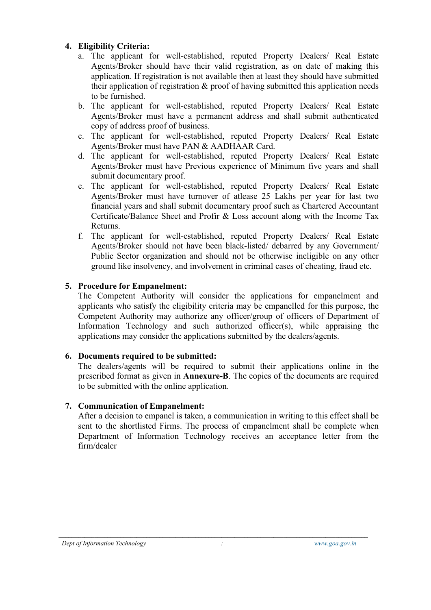#### **4. Eligibility Criteria:**

- a. The applicant for well-established, reputed Property Dealers/ Real Estate Agents/Broker should have their valid registration, as on date of making this application. If registration is not available then at least they should have submitted their application of registration & proof of having submitted this application needs to be furnished.
- b. The applicant for well-established, reputed Property Dealers/ Real Estate Agents/Broker must have a permanent address and shall submit authenticated copy of address proof of business.
- c. The applicant for well-established, reputed Property Dealers/ Real Estate Agents/Broker must have PAN & AADHAAR Card.
- d. The applicant for well-established, reputed Property Dealers/ Real Estate Agents/Broker must have Previous experience of Minimum five years and shall submit documentary proof.
- e. The applicant for well-established, reputed Property Dealers/ Real Estate Agents/Broker must have turnover of atlease 25 Lakhs per year for last two financial years and shall submit documentary proof such as Chartered Accountant Certificate/Balance Sheet and Profir & Loss account along with the Income Tax Returns.
- f. The applicant for well-established, reputed Property Dealers/ Real Estate Agents/Broker should not have been black-listed/ debarred by any Government/ Public Sector organization and should not be otherwise ineligible on any other ground like insolvency, and involvement in criminal cases of cheating, fraud etc.

# **5. Procedure for Empanelment:**

The Competent Authority will consider the applications for empanelment and applicants who satisfy the eligibility criteria may be empanelled for this purpose, the Competent Authority may authorize any officer/group of officers of Department of Information Technology and such authorized officer(s), while appraising the applications may consider the applications submitted by the dealers/agents.

## **6. Documents required tobe submitted:**

The dealers/agents will be required to submit their applications online in the prescribed format as given in **Annexure-B**. The copies of the documents are required to be submitted with the online application.

## **7. Communication of Empanelment:**

After a decision to empanel is taken, a communication in writing to this effect shall be sent to the shortlisted Firms. The process of empanelment shall be complete when Department of Information Technology receives an acceptance letter from the firm/dealer

**\_\_\_\_\_\_\_\_\_\_\_\_\_\_\_\_\_\_\_\_\_\_\_\_\_\_\_\_\_\_\_\_\_\_\_\_\_\_\_\_\_\_\_\_\_\_\_\_\_\_\_\_\_\_\_\_\_\_\_\_\_\_\_\_\_\_\_\_\_\_\_\_\_\_\_\_\_\_\_\_\_\_\_\_\_\_\_\_\_\_\_\_\_\_\_**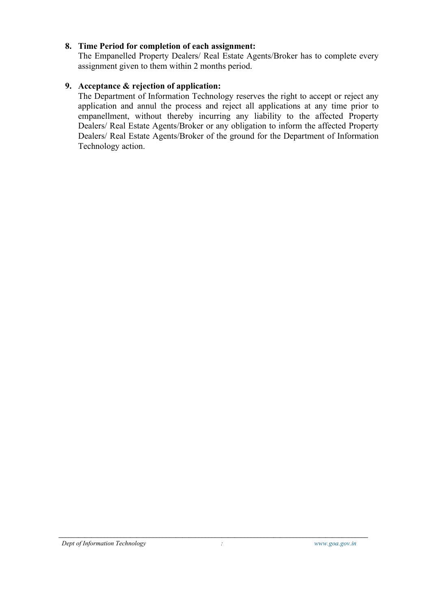#### **8. Time Period for completion of each assignment:**

The Empanelled Property Dealers/ Real Estate Agents/Broker has to complete every assignment given to them within 2 months period.

### **9. Acceptance & rejection of application:**

The Department of Information Technology reserves the right to accept or reject any application and annul the process and reject allapplications at any time prior to empanellment, without thereby incurring any liability to the affected Property Dealers/ Real Estate Agents/Broker or any obligation to inform the affected Property Dealers/ Real Estate Agents/Broker of the ground for the Department of Information Technology action.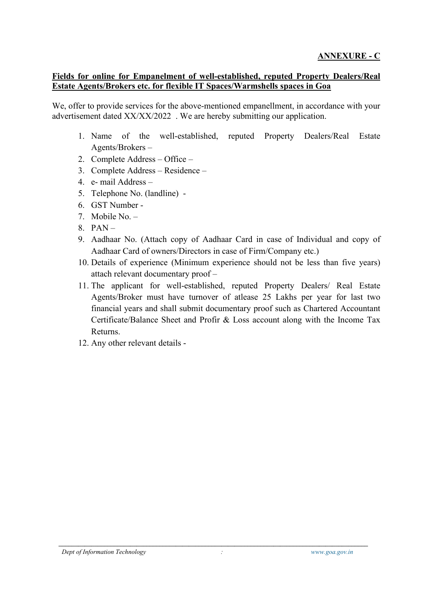### **Fields for online for Empanelment of well-established, reputed Property Dealers/Real Estate Agents/Brokers etc. for flexible IT Spaces/Warmshells spaces in Goa**

We, offer to provide services for the above-mentioned empanellment, in accordance with your advertisement dated XX/XX/2022 . We are hereby submitting our application.

- 1. Name of the well-established, reputed Property Dealers/Real Estate Agents/Brokers –
- 2. Complete Address Office –
- 3. Complete Address Residence –
- 4. e- mail Address –
- 5. Telephone No. (landline) -
- 6. GST Number -
- 7. Mobile No. –
- $8.$  PAN –
- 9. Aadhaar No. (Attach copy of Aadhaar Card in case of Individual and copy of Aadhaar Card of owners/Directors in case of Firm/Company etc.)
- 10. Details of experience (Minimum experience should not be less than five years) attach relevant documentary proof –
- 11. The applicant for well-established, reputed Property Dealers/ Real Estate Agents/Broker must have turnover of atlease 25 Lakhs per year for last two financial years and shall submit documentary proof such as Chartered Accountant Certificate/Balance Sheet and Profir & Loss account along with the Income Tax Returns.
- 12. Any other relevant details -

**\_\_\_\_\_\_\_\_\_\_\_\_\_\_\_\_\_\_\_\_\_\_\_\_\_\_\_\_\_\_\_\_\_\_\_\_\_\_\_\_\_\_\_\_\_\_\_\_\_\_\_\_\_\_\_\_\_\_\_\_\_\_\_\_\_\_\_\_\_\_\_\_\_\_\_\_\_\_\_\_\_\_\_\_\_\_\_\_\_\_\_\_\_\_\_**